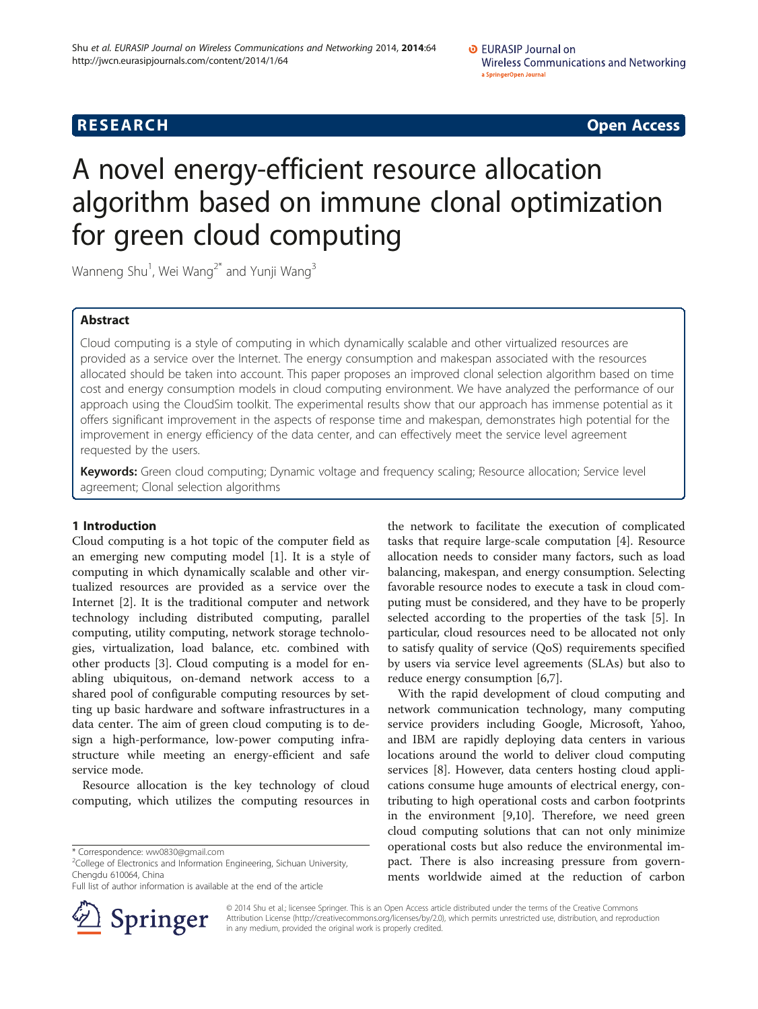## **RESEARCH RESEARCH CONSUMING ACCESS**

# A novel energy-efficient resource allocation algorithm based on immune clonal optimization for green cloud computing

Wanneng Shu<sup>1</sup>, Wei Wang<sup>2\*</sup> and Yunji Wang<sup>3</sup>

## Abstract

Cloud computing is a style of computing in which dynamically scalable and other virtualized resources are provided as a service over the Internet. The energy consumption and makespan associated with the resources allocated should be taken into account. This paper proposes an improved clonal selection algorithm based on time cost and energy consumption models in cloud computing environment. We have analyzed the performance of our approach using the CloudSim toolkit. The experimental results show that our approach has immense potential as it offers significant improvement in the aspects of response time and makespan, demonstrates high potential for the improvement in energy efficiency of the data center, and can effectively meet the service level agreement requested by the users.

Keywords: Green cloud computing; Dynamic voltage and frequency scaling; Resource allocation; Service level agreement; Clonal selection algorithms

## 1 Introduction

Cloud computing is a hot topic of the computer field as an emerging new computing model [\[1](#page-8-0)]. It is a style of computing in which dynamically scalable and other virtualized resources are provided as a service over the Internet [[2\]](#page-8-0). It is the traditional computer and network technology including distributed computing, parallel computing, utility computing, network storage technologies, virtualization, load balance, etc. combined with other products [[3\]](#page-8-0). Cloud computing is a model for enabling ubiquitous, on-demand network access to a shared pool of configurable computing resources by setting up basic hardware and software infrastructures in a data center. The aim of green cloud computing is to design a high-performance, low-power computing infrastructure while meeting an energy-efficient and safe service mode.

Resource allocation is the key technology of cloud computing, which utilizes the computing resources in

Full list of author information is available at the end of the article



the network to facilitate the execution of complicated tasks that require large-scale computation [\[4](#page-8-0)]. Resource allocation needs to consider many factors, such as load balancing, makespan, and energy consumption. Selecting favorable resource nodes to execute a task in cloud computing must be considered, and they have to be properly selected according to the properties of the task [\[5](#page-8-0)]. In particular, cloud resources need to be allocated not only to satisfy quality of service (QoS) requirements specified by users via service level agreements (SLAs) but also to reduce energy consumption [[6,7\]](#page-8-0).

With the rapid development of cloud computing and network communication technology, many computing service providers including Google, Microsoft, Yahoo, and IBM are rapidly deploying data centers in various locations around the world to deliver cloud computing services [[8\]](#page-8-0). However, data centers hosting cloud applications consume huge amounts of electrical energy, contributing to high operational costs and carbon footprints in the environment [[9,10\]](#page-8-0). Therefore, we need green cloud computing solutions that can not only minimize operational costs but also reduce the environmental impact. There is also increasing pressure from governments worldwide aimed at the reduction of carbon

© 2014 Shu et al.; licensee Springer. This is an Open Access article distributed under the terms of the Creative Commons Attribution License [\(http://creativecommons.org/licenses/by/2.0\)](http://creativecommons.org/licenses/by/2.0), which permits unrestricted use, distribution, and reproduction in any medium, provided the original work is properly credited.

<sup>\*</sup> Correspondence: [ww0830@gmail.com](mailto:ww0830@gmail.com) <sup>2</sup>

 $2$ College of Electronics and Information Engineering, Sichuan University, Chengdu 610064, China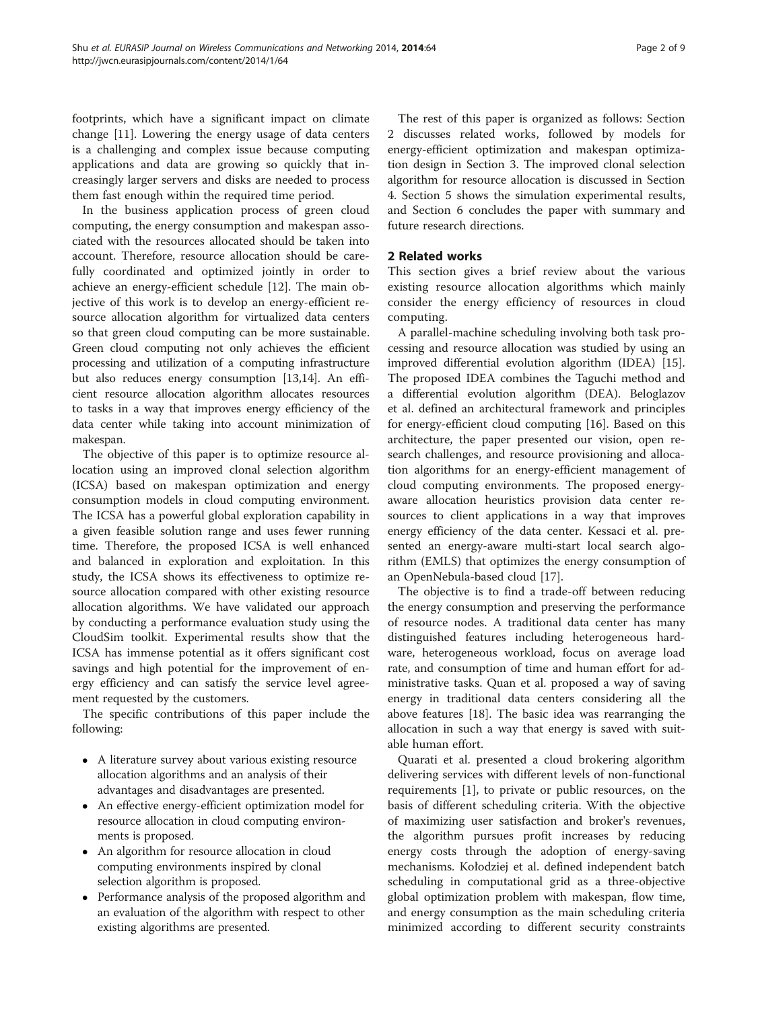footprints, which have a significant impact on climate change [\[11](#page-8-0)]. Lowering the energy usage of data centers is a challenging and complex issue because computing applications and data are growing so quickly that increasingly larger servers and disks are needed to process them fast enough within the required time period.

In the business application process of green cloud computing, the energy consumption and makespan associated with the resources allocated should be taken into account. Therefore, resource allocation should be carefully coordinated and optimized jointly in order to achieve an energy-efficient schedule [[12](#page-8-0)]. The main objective of this work is to develop an energy-efficient resource allocation algorithm for virtualized data centers so that green cloud computing can be more sustainable. Green cloud computing not only achieves the efficient processing and utilization of a computing infrastructure but also reduces energy consumption [\[13,14\]](#page-8-0). An efficient resource allocation algorithm allocates resources to tasks in a way that improves energy efficiency of the data center while taking into account minimization of makespan.

The objective of this paper is to optimize resource allocation using an improved clonal selection algorithm (ICSA) based on makespan optimization and energy consumption models in cloud computing environment. The ICSA has a powerful global exploration capability in a given feasible solution range and uses fewer running time. Therefore, the proposed ICSA is well enhanced and balanced in exploration and exploitation. In this study, the ICSA shows its effectiveness to optimize resource allocation compared with other existing resource allocation algorithms. We have validated our approach by conducting a performance evaluation study using the CloudSim toolkit. Experimental results show that the ICSA has immense potential as it offers significant cost savings and high potential for the improvement of energy efficiency and can satisfy the service level agreement requested by the customers.

The specific contributions of this paper include the following:

- A literature survey about various existing resource allocation algorithms and an analysis of their advantages and disadvantages are presented.
- An effective energy-efficient optimization model for resource allocation in cloud computing environments is proposed.
- An algorithm for resource allocation in cloud computing environments inspired by clonal selection algorithm is proposed.
- Performance analysis of the proposed algorithm and an evaluation of the algorithm with respect to other existing algorithms are presented.

The rest of this paper is organized as follows: Section 2 discusses related works, followed by models for energy-efficient optimization and makespan optimization design in Section [3.](#page-2-0) The improved clonal selection algorithm for resource allocation is discussed in Section [4.](#page-3-0) Section [5](#page-4-0) shows the simulation experimental results, and Section [6](#page-7-0) concludes the paper with summary and future research directions.

## 2 Related works

This section gives a brief review about the various existing resource allocation algorithms which mainly consider the energy efficiency of resources in cloud computing.

A parallel-machine scheduling involving both task processing and resource allocation was studied by using an improved differential evolution algorithm (IDEA) [\[15](#page-8-0)]. The proposed IDEA combines the Taguchi method and a differential evolution algorithm (DEA). Beloglazov et al. defined an architectural framework and principles for energy-efficient cloud computing [[16](#page-8-0)]. Based on this architecture, the paper presented our vision, open research challenges, and resource provisioning and allocation algorithms for an energy-efficient management of cloud computing environments. The proposed energyaware allocation heuristics provision data center resources to client applications in a way that improves energy efficiency of the data center. Kessaci et al. presented an energy-aware multi-start local search algorithm (EMLS) that optimizes the energy consumption of an OpenNebula-based cloud [[17](#page-8-0)].

The objective is to find a trade-off between reducing the energy consumption and preserving the performance of resource nodes. A traditional data center has many distinguished features including heterogeneous hardware, heterogeneous workload, focus on average load rate, and consumption of time and human effort for administrative tasks. Quan et al. proposed a way of saving energy in traditional data centers considering all the above features [\[18](#page-8-0)]. The basic idea was rearranging the allocation in such a way that energy is saved with suitable human effort.

Quarati et al. presented a cloud brokering algorithm delivering services with different levels of non-functional requirements [\[1](#page-8-0)], to private or public resources, on the basis of different scheduling criteria. With the objective of maximizing user satisfaction and broker's revenues, the algorithm pursues profit increases by reducing energy costs through the adoption of energy-saving mechanisms. Kołodziej et al. defined independent batch scheduling in computational grid as a three-objective global optimization problem with makespan, flow time, and energy consumption as the main scheduling criteria minimized according to different security constraints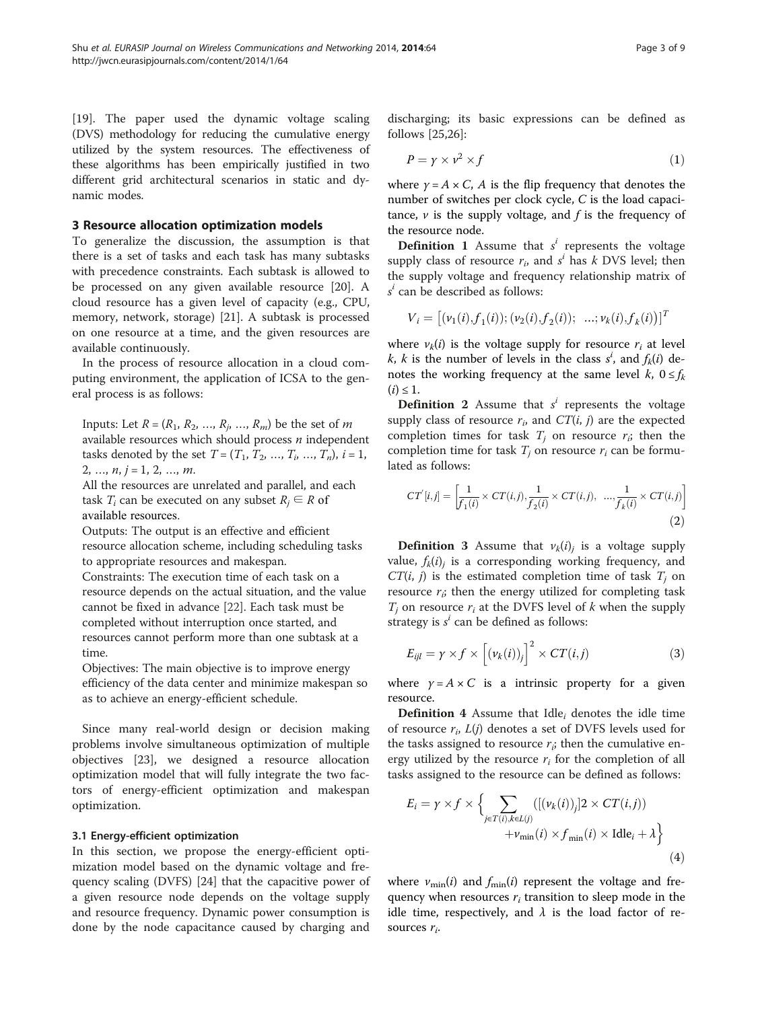<span id="page-2-0"></span>[[19\]](#page-8-0). The paper used the dynamic voltage scaling (DVS) methodology for reducing the cumulative energy utilized by the system resources. The effectiveness of these algorithms has been empirically justified in two different grid architectural scenarios in static and dynamic modes.

## 3 Resource allocation optimization models

To generalize the discussion, the assumption is that there is a set of tasks and each task has many subtasks with precedence constraints. Each subtask is allowed to be processed on any given available resource [\[20\]](#page-8-0). A cloud resource has a given level of capacity (e.g., CPU, memory, network, storage) [[21\]](#page-8-0). A subtask is processed on one resource at a time, and the given resources are available continuously.

In the process of resource allocation in a cloud computing environment, the application of ICSA to the general process is as follows:

Inputs: Let  $R = (R_1, R_2, ..., R_i, ..., R_m)$  be the set of m available resources which should process  $n$  independent tasks denoted by the set  $T = (T_1, T_2, ..., T_i, ..., T_n), i = 1$ ,  $2, ..., n, j = 1, 2, ..., m$ .

All the resources are unrelated and parallel, and each task  $T_i$  can be executed on any subset  $R_i \in R$  of available resources.

Outputs: The output is an effective and efficient resource allocation scheme, including scheduling tasks to appropriate resources and makespan.

Constraints: The execution time of each task on a resource depends on the actual situation, and the value cannot be fixed in advance [[22](#page-8-0)]. Each task must be completed without interruption once started, and resources cannot perform more than one subtask at a time.

Objectives: The main objective is to improve energy efficiency of the data center and minimize makespan so as to achieve an energy-efficient schedule.

Since many real-world design or decision making problems involve simultaneous optimization of multiple objectives [\[23\]](#page-8-0), we designed a resource allocation optimization model that will fully integrate the two factors of energy-efficient optimization and makespan optimization.

### 3.1 Energy-efficient optimization

In this section, we propose the energy-efficient optimization model based on the dynamic voltage and frequency scaling (DVFS) [[24\]](#page-8-0) that the capacitive power of a given resource node depends on the voltage supply and resource frequency. Dynamic power consumption is done by the node capacitance caused by charging and

discharging; its basic expressions can be defined as follows [[25,26](#page-8-0)]:

$$
P = \gamma \times \nu^2 \times f \tag{1}
$$

where  $\gamma = A \times C$ , A is the flip frequency that denotes the number of switches per clock cycle, C is the load capacitance,  $\nu$  is the supply voltage, and f is the frequency of the resource node.

**Definition 1** Assume that  $s^i$  represents the voltage supply class of resource  $r_i$ , and  $s^i$  has  $k$  DVS level; then the supply voltage and frequency relationship matrix of  $s<sup>i</sup>$  can be described as follows:

$$
V_i = [(\nu_1(i), f_1(i)); (\nu_2(i), f_2(i)); \dots; \nu_k(i), f_k(i))]^T
$$

where  $v_k(i)$  is the voltage supply for resource  $r_i$  at level k, k is the number of levels in the class  $s^i$ , and  $f_k(i)$  denotes the working frequency at the same level k,  $0 \le f_k$  $(i) \leq 1$ .

**Definition 2** Assume that  $s^i$  represents the voltage supply class of resource  $r_i$ , and  $CT(i, j)$  are the expected completion times for task  $T_i$  on resource  $r_i$ ; then the completion time for task  $T_i$  on resource  $r_i$  can be formulated as follows:

$$
CT'[i,j] = \left[\frac{1}{f_1(i)} \times CT(i,j), \frac{1}{f_2(i)} \times CT(i,j), \dots, \frac{1}{f_k(i)} \times CT(i,j)\right]
$$
\n(2)

**Definition 3** Assume that  $v_k(i)$  is a voltage supply value,  $f_k(i)$  is a corresponding working frequency, and  $CT(i, j)$  is the estimated completion time of task  $T_i$  on resource  $r_i$ ; then the energy utilized for completing task  $T_i$  on resource  $r_i$  at the DVFS level of k when the supply strategy is  $s^i$  can be defined as follows:

$$
E_{ijl} = \gamma \times f \times \left[ (\nu_k(i))_j \right]^2 \times CT(i,j)
$$
 (3)

where  $\gamma = A \times C$  is a intrinsic property for a given resource.

**Definition 4** Assume that  $Idle<sub>i</sub>$  denotes the idle time of resource  $r_i$ ,  $L(j)$  denotes a set of DVFS levels used for the tasks assigned to resource  $r_i$ ; then the cumulative energy utilized by the resource  $r_i$  for the completion of all tasks assigned to the resource can be defined as follows:

$$
E_i = \gamma \times f \times \left\{ \sum_{j \in T(i), k \in L(j)} ([(\nu_k(i))_j] 2 \times CT(i,j)) + \nu_{\min}(i) \times f_{\min}(i) \times \text{Idle}_i + \lambda \right\}
$$
(4)

where  $v_{\text{min}}(i)$  and  $f_{\text{min}}(i)$  represent the voltage and frequency when resources  $r_i$  transition to sleep mode in the idle time, respectively, and  $\lambda$  is the load factor of resources  $r_i$ .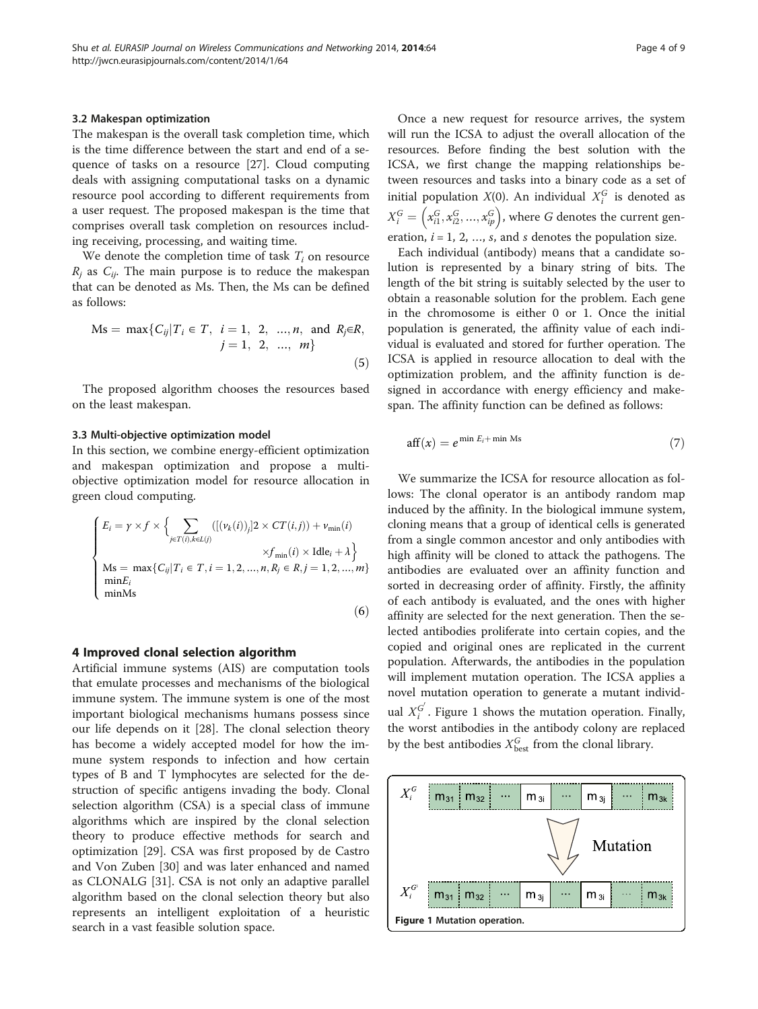#### <span id="page-3-0"></span>3.2 Makespan optimization

The makespan is the overall task completion time, which is the time difference between the start and end of a sequence of tasks on a resource [[27](#page-8-0)]. Cloud computing deals with assigning computational tasks on a dynamic resource pool according to different requirements from a user request. The proposed makespan is the time that comprises overall task completion on resources including receiving, processing, and waiting time.

We denote the completion time of task  $T_i$  on resource  $R_i$  as  $C_{ij}$ . The main purpose is to reduce the makespan that can be denoted as Ms. Then, the Ms can be defined as follows:

$$
Ms = \max\{C_{ij}|T_i \in T, i = 1, 2, ..., n, \text{ and } R_j \in R, \quad j = 1, 2, ..., m\}
$$
\n(5)

The proposed algorithm chooses the resources based on the least makespan.

#### 3.3 Multi-objective optimization model

In this section, we combine energy-efficient optimization and makespan optimization and propose a multiobjective optimization model for resource allocation in green cloud computing.

$$
\begin{cases}\nE_i = \gamma \times f \times \left\{ \sum_{j \in T(i), k \in L(j)} \left( [(v_k(i))_j] 2 \times CT(i,j)) + v_{\min}(i) \right. \\
\times f_{\min}(i) \times \text{Idle}_i + \lambda \right\} \\
\text{Ms} = \max \{ C_{ij} | T_i \in T, i = 1, 2, ..., n, R_j \in R, j = 1, 2, ..., m \} \\
\min_{\text{minMs}} E_i\n\end{cases}
$$

 $(6)$ 

## 4 Improved clonal selection algorithm

Artificial immune systems (AIS) are computation tools that emulate processes and mechanisms of the biological immune system. The immune system is one of the most important biological mechanisms humans possess since our life depends on it [[28](#page-8-0)]. The clonal selection theory has become a widely accepted model for how the immune system responds to infection and how certain types of B and T lymphocytes are selected for the destruction of specific antigens invading the body. Clonal selection algorithm (CSA) is a special class of immune algorithms which are inspired by the clonal selection theory to produce effective methods for search and optimization [\[29](#page-8-0)]. CSA was first proposed by de Castro and Von Zuben [\[30](#page-8-0)] and was later enhanced and named as CLONALG [[31\]](#page-8-0). CSA is not only an adaptive parallel algorithm based on the clonal selection theory but also represents an intelligent exploitation of a heuristic search in a vast feasible solution space.

Once a new request for resource arrives, the system will run the ICSA to adjust the overall allocation of the resources. Before finding the best solution with the ICSA, we first change the mapping relationships between resources and tasks into a binary code as a set of initial population  $X(0)$ . An individual  $X_i^G$  is denoted as  $X_i^G = \left(x_{i1}^G, x_{i2}^G, ..., x_{ip}^G\right)$ , where G denotes the current generation,  $i = 1, 2, ..., s$ , and s denotes the population size.

Each individual (antibody) means that a candidate solution is represented by a binary string of bits. The length of the bit string is suitably selected by the user to obtain a reasonable solution for the problem. Each gene in the chromosome is either 0 or 1. Once the initial population is generated, the affinity value of each individual is evaluated and stored for further operation. The ICSA is applied in resource allocation to deal with the optimization problem, and the affinity function is designed in accordance with energy efficiency and makespan. The affinity function can be defined as follows:

$$
aff(x) = e^{\min E_i + \min Ms} \tag{7}
$$

We summarize the ICSA for resource allocation as follows: The clonal operator is an antibody random map induced by the affinity. In the biological immune system, cloning means that a group of identical cells is generated from a single common ancestor and only antibodies with high affinity will be cloned to attack the pathogens. The antibodies are evaluated over an affinity function and sorted in decreasing order of affinity. Firstly, the affinity of each antibody is evaluated, and the ones with higher affinity are selected for the next generation. Then the selected antibodies proliferate into certain copies, and the copied and original ones are replicated in the current population. Afterwards, the antibodies in the population will implement mutation operation. The ICSA applies a novel mutation operation to generate a mutant individual  $X_i^G$ . Figure 1 shows the mutation operation. Finally, the worst antibodies in the antibody colony are replaced by the best antibodies  $X_{\text{best}}^G$  from the clonal library.

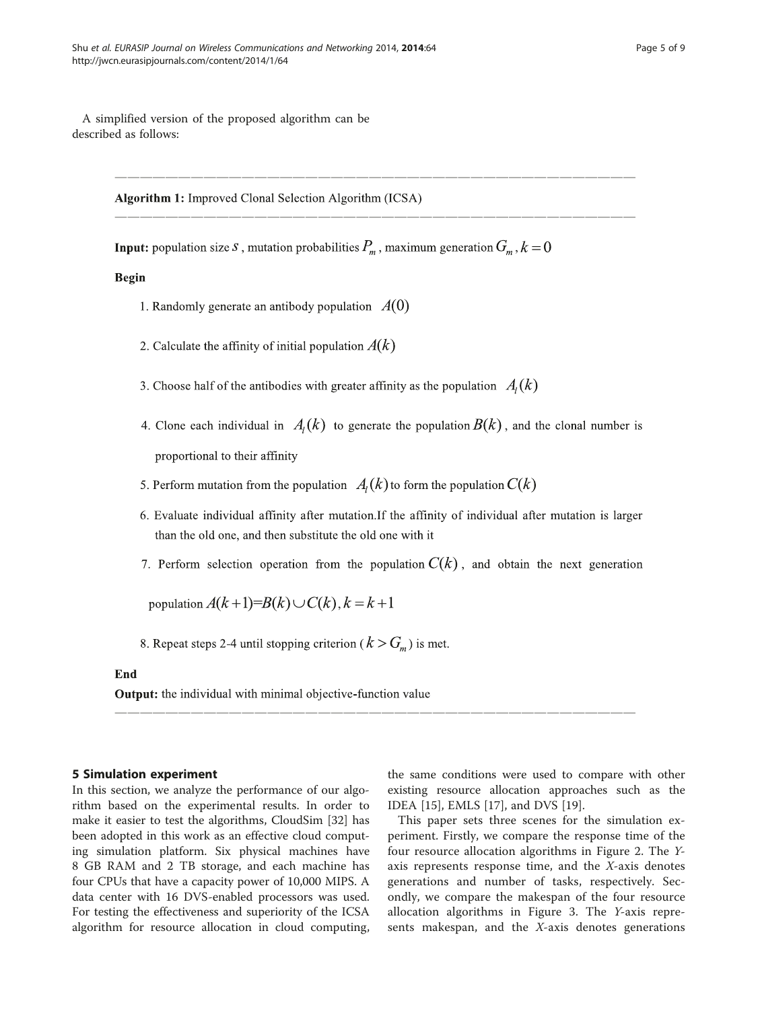<span id="page-4-0"></span>A simplified version of the proposed algorithm can be described as follows:

Algorithm 1: Improved Clonal Selection Algorithm (ICSA)

**Input:** population size S, mutation probabilities  $P_m$ , maximum generation  $G_m$ ,  $k = 0$ 

## **Begin**

- 1. Randomly generate an antibody population  $A(0)$
- 2. Calculate the affinity of initial population  $A(k)$
- 3. Choose half of the antibodies with greater affinity as the population  $A_i(k)$
- 4. Clone each individual in  $A<sub>l</sub>(k)$  to generate the population  $B(k)$ , and the clonal number is proportional to their affinity
- 5. Perform mutation from the population  $A<sub>1</sub>(k)$  to form the population  $C(k)$
- 6. Evaluate individual affinity after mutation. If the affinity of individual after mutation is larger than the old one, and then substitute the old one with it
- 7. Perform selection operation from the population  $C(k)$ , and obtain the next generation

population  $A(k+1)=B(k)\cup C(k)$ ,  $k=k+1$ 

8. Repeat steps 2-4 until stopping criterion ( $k > G_m$ ) is met.

## End

Output: the individual with minimal objective-function value

## 5 Simulation experiment

In this section, we analyze the performance of our algorithm based on the experimental results. In order to make it easier to test the algorithms, CloudSim [[32](#page-8-0)] has been adopted in this work as an effective cloud computing simulation platform. Six physical machines have 8 GB RAM and 2 TB storage, and each machine has four CPUs that have a capacity power of 10,000 MIPS. A data center with 16 DVS-enabled processors was used. For testing the effectiveness and superiority of the ICSA algorithm for resource allocation in cloud computing, the same conditions were used to compare with other existing resource allocation approaches such as the IDEA [[15\]](#page-8-0), EMLS [[17](#page-8-0)], and DVS [[19\]](#page-8-0).

This paper sets three scenes for the simulation experiment. Firstly, we compare the response time of the four resource allocation algorithms in Figure [2.](#page-5-0) The Yaxis represents response time, and the X-axis denotes generations and number of tasks, respectively. Secondly, we compare the makespan of the four resource allocation algorithms in Figure [3](#page-6-0). The Y-axis represents makespan, and the X-axis denotes generations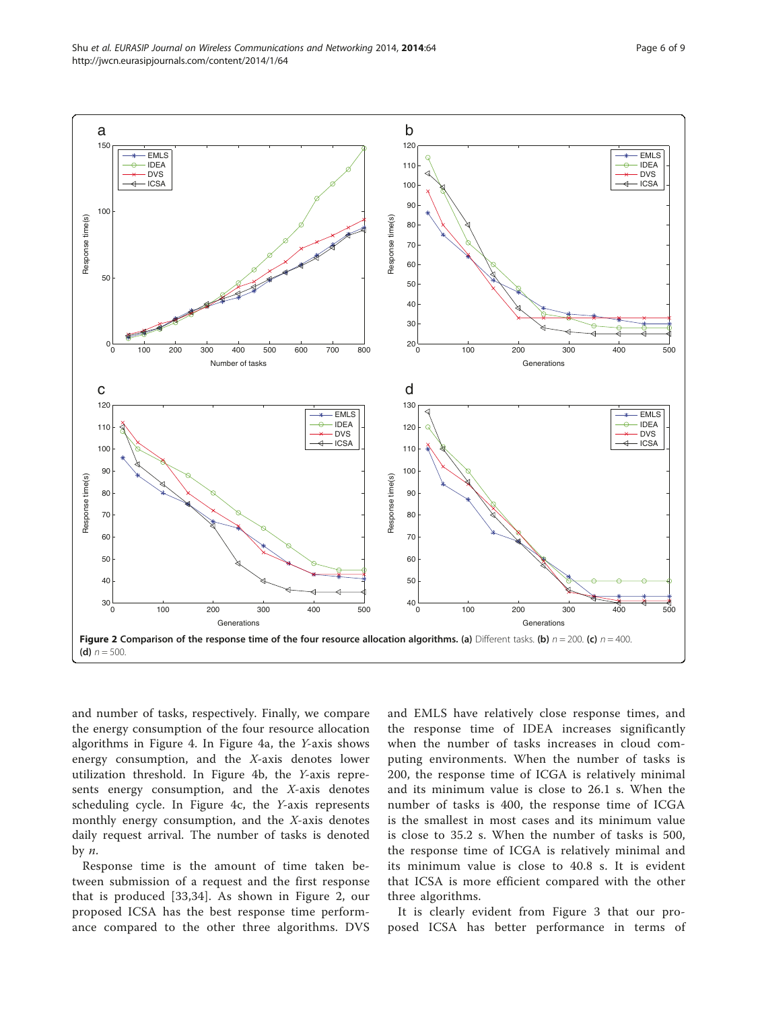<span id="page-5-0"></span>

and number of tasks, respectively. Finally, we compare the energy consumption of the four resource allocation algorithms in Figure [4.](#page-7-0) In Figure [4a](#page-7-0), the Y-axis shows energy consumption, and the X-axis denotes lower utilization threshold. In Figure [4b](#page-7-0), the Y-axis represents energy consumption, and the X-axis denotes scheduling cycle. In Figure [4](#page-7-0)c, the Y-axis represents monthly energy consumption, and the X-axis denotes daily request arrival. The number of tasks is denoted by  $n$ .

Response time is the amount of time taken between submission of a request and the first response that is produced [[33,34\]](#page-8-0). As shown in Figure 2, our proposed ICSA has the best response time performance compared to the other three algorithms. DVS and EMLS have relatively close response times, and the response time of IDEA increases significantly when the number of tasks increases in cloud computing environments. When the number of tasks is 200, the response time of ICGA is relatively minimal and its minimum value is close to 26.1 s. When the number of tasks is 400, the response time of ICGA is the smallest in most cases and its minimum value is close to 35.2 s. When the number of tasks is 500, the response time of ICGA is relatively minimal and its minimum value is close to 40.8 s. It is evident that ICSA is more efficient compared with the other three algorithms.

It is clearly evident from Figure [3](#page-6-0) that our proposed ICSA has better performance in terms of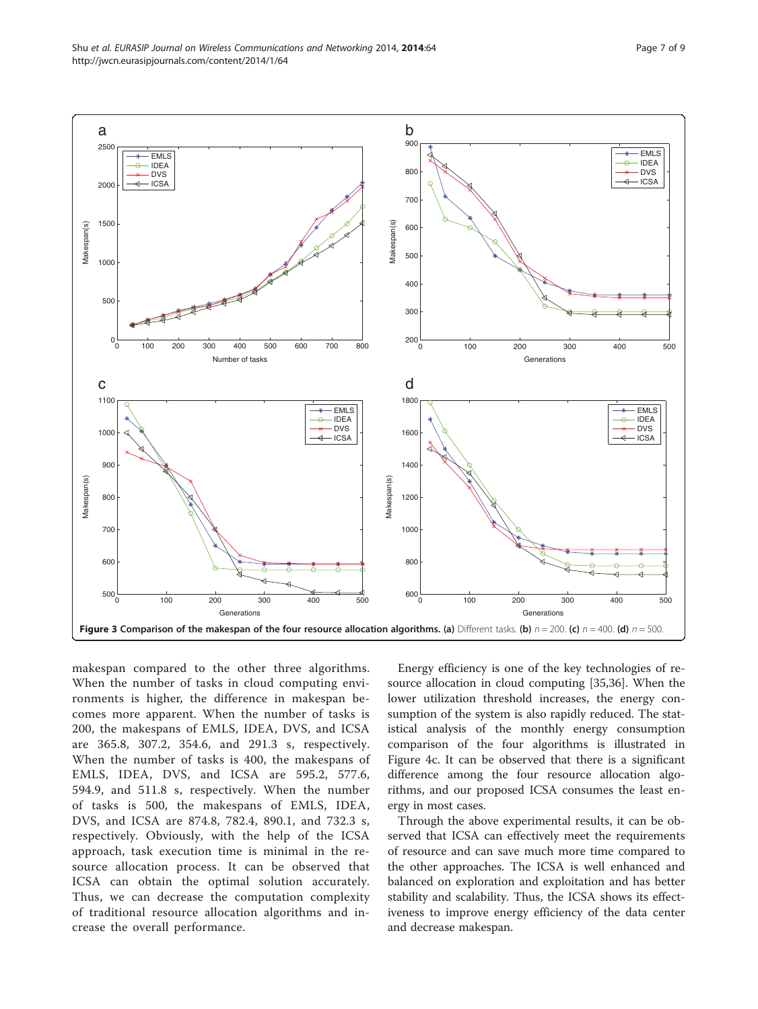<span id="page-6-0"></span>

makespan compared to the other three algorithms. When the number of tasks in cloud computing environments is higher, the difference in makespan becomes more apparent. When the number of tasks is 200, the makespans of EMLS, IDEA, DVS, and ICSA are 365.8, 307.2, 354.6, and 291.3 s, respectively. When the number of tasks is 400, the makespans of EMLS, IDEA, DVS, and ICSA are 595.2, 577.6, 594.9, and 511.8 s, respectively. When the number of tasks is 500, the makespans of EMLS, IDEA, DVS, and ICSA are 874.8, 782.4, 890.1, and 732.3 s, respectively. Obviously, with the help of the ICSA approach, task execution time is minimal in the resource allocation process. It can be observed that ICSA can obtain the optimal solution accurately. Thus, we can decrease the computation complexity of traditional resource allocation algorithms and increase the overall performance.

Energy efficiency is one of the key technologies of resource allocation in cloud computing [\[35,36](#page-8-0)]. When the lower utilization threshold increases, the energy consumption of the system is also rapidly reduced. The statistical analysis of the monthly energy consumption comparison of the four algorithms is illustrated in Figure [4](#page-7-0)c. It can be observed that there is a significant difference among the four resource allocation algorithms, and our proposed ICSA consumes the least energy in most cases.

Through the above experimental results, it can be observed that ICSA can effectively meet the requirements of resource and can save much more time compared to the other approaches. The ICSA is well enhanced and balanced on exploration and exploitation and has better stability and scalability. Thus, the ICSA shows its effectiveness to improve energy efficiency of the data center and decrease makespan.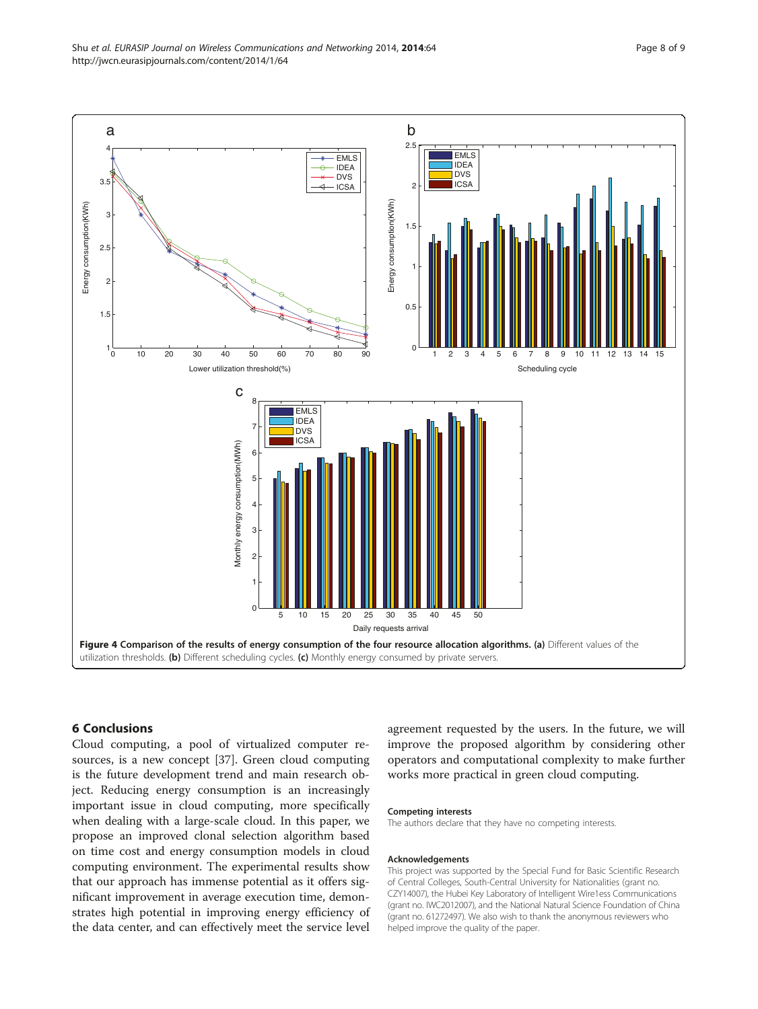<span id="page-7-0"></span>

## 6 Conclusions

Cloud computing, a pool of virtualized computer resources, is a new concept [[37\]](#page-8-0). Green cloud computing is the future development trend and main research object. Reducing energy consumption is an increasingly important issue in cloud computing, more specifically when dealing with a large-scale cloud. In this paper, we propose an improved clonal selection algorithm based on time cost and energy consumption models in cloud computing environment. The experimental results show that our approach has immense potential as it offers significant improvement in average execution time, demonstrates high potential in improving energy efficiency of the data center, and can effectively meet the service level

agreement requested by the users. In the future, we will improve the proposed algorithm by considering other operators and computational complexity to make further works more practical in green cloud computing.

#### Competing interests

The authors declare that they have no competing interests.

#### Acknowledgements

This project was supported by the Special Fund for Basic Scientific Research of Central Colleges, South-Central University for Nationalities (grant no. CZY14007), the Hubei Key Laboratory of Intelligent Wire1ess Communications (grant no. IWC2012007), and the National Natural Science Foundation of China (grant no. 61272497). We also wish to thank the anonymous reviewers who helped improve the quality of the paper.